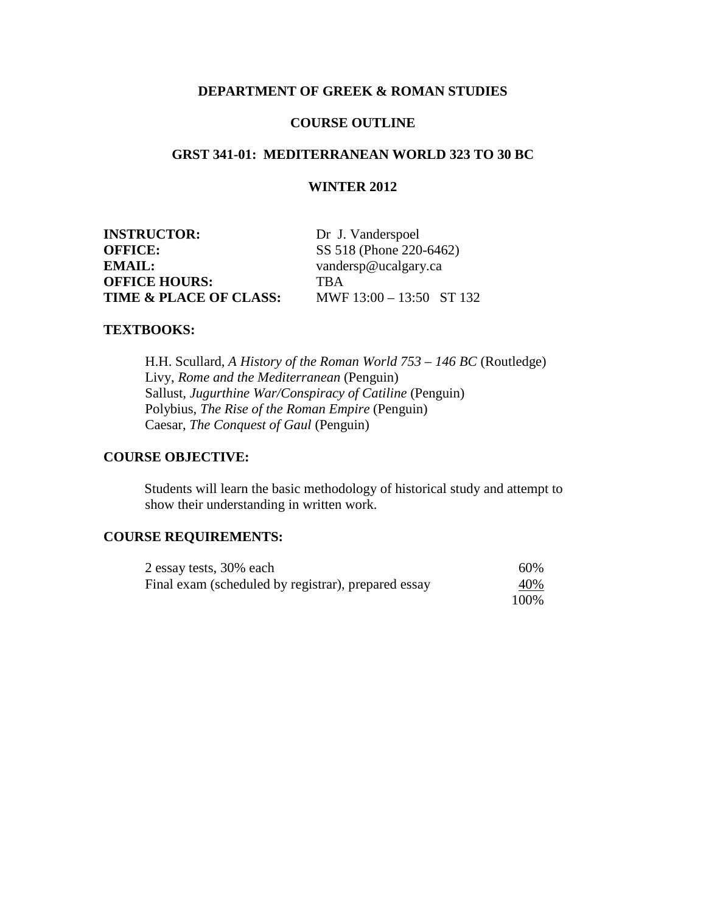## **DEPARTMENT OF GREEK & ROMAN STUDIES**

### **COURSE OUTLINE**

# **GRST 341-01: MEDITERRANEAN WORLD 323 TO 30 BC**

### **WINTER 2012**

| <b>INSTRUCTOR:</b>                | Dr. J. Vanderspoel         |  |
|-----------------------------------|----------------------------|--|
| <b>OFFICE:</b>                    | SS 518 (Phone 220-6462)    |  |
| EMAIL:                            | vandersp@ucalgary.ca       |  |
| <b>OFFICE HOURS:</b>              | <b>TRA</b>                 |  |
| <b>TIME &amp; PLACE OF CLASS:</b> | MWF $13:00 - 13:50$ ST 132 |  |

#### **TEXTBOOKS:**

H.H. Scullard, *A History of the Roman World 753 – 146 BC* (Routledge) Livy, *Rome and the Mediterranean* (Penguin) Sallust, *Jugurthine War/Conspiracy of Catiline* (Penguin) Polybius, *The Rise of the Roman Empire* (Penguin) Caesar, *The Conquest of Gaul* (Penguin)

## **COURSE OBJECTIVE:**

Students will learn the basic methodology of historical study and attempt to show their understanding in written work.

### **COURSE REQUIREMENTS:**

| 2 essay tests, 30% each                             | 60%        |
|-----------------------------------------------------|------------|
| Final exam (scheduled by registrar), prepared essay | <u>40%</u> |
|                                                     | 100%       |